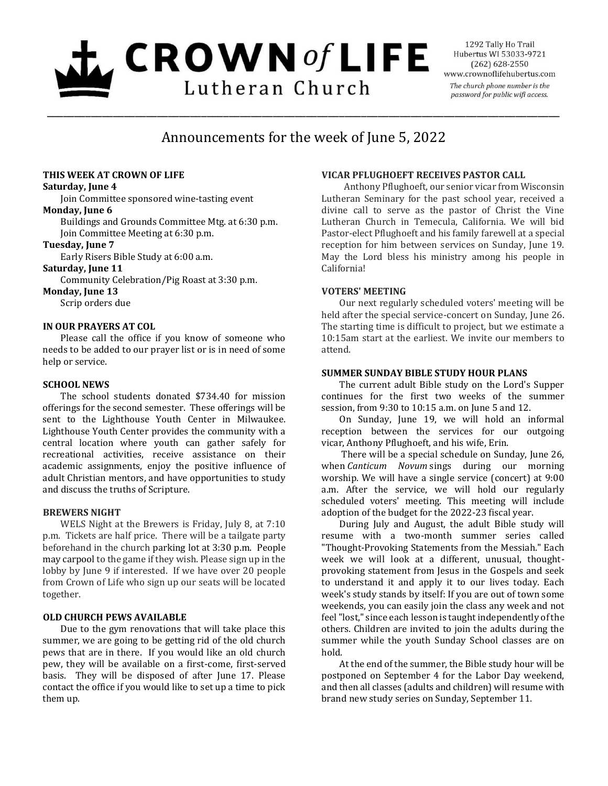# $L$  CROWN of LIFE Lutheran Church

1292 Tally Ho Trail Hubertus WI 53033-9721  $(262)$  628-2550 www.crownoflifehubertus.com The church phone number is the password for public wifi access.

# Announcements for the week of June 5, 2022

\_\_\_\_\_\_\_\_\_\_\_\_\_\_\_\_\_\_\_\_\_\_\_\_\_\_\_\_\_\_\_\_\_\_\_\_\_\_\_\_\_\_\_\_\_\_\_\_\_\_\_\_\_\_\_\_\_\_\_\_\_\_\_\_\_\_\_\_\_\_\_\_\_\_\_\_\_\_\_\_\_\_\_\_\_\_\_\_\_\_\_\_\_

# **THIS WEEK AT CROWN OF LIFE**

#### **Saturday, June 4**

Join Committee sponsored wine-tasting event

#### **Monday, June 6**

Buildings and Grounds Committee Mtg. at 6:30 p.m. Join Committee Meeting at 6:30 p.m.

# **Tuesday, June 7**

Early Risers Bible Study at 6:00 a.m.

# **Saturday, June 11**

Community Celebration/Pig Roast at 3:30 p.m.

**Monday, June 13**

Scrip orders due

# **IN OUR PRAYERS AT COL**

Please call the office if you know of someone who needs to be added to our prayer list or is in need of some help or service.

# **SCHOOL NEWS**

The school students donated \$734.40 for mission offerings for the second semester. These offerings will be sent to the Lighthouse Youth Center in Milwaukee. Lighthouse Youth Center provides the community with a central location where youth can gather safely for recreational activities, receive assistance on their academic assignments, enjoy the positive influence of adult Christian mentors, and have opportunities to study and discuss the truths of Scripture.

#### **BREWERS NIGHT**

WELS Night at the Brewers is Friday, July 8, at 7:10 p.m. Tickets are half price. There will be a tailgate party beforehand in the church parking lot at 3:30 p.m. People may carpool to the game if they wish. Please sign up in the lobby by June 9 if interested. If we have over 20 people from Crown of Life who sign up our seats will be located together.

# **OLD CHURCH PEWS AVAILABLE**

Due to the gym renovations that will take place this summer, we are going to be getting rid of the old church pews that are in there. If you would like an old church pew, they will be available on a first-come, first-served basis. They will be disposed of after June 17. Please contact the office if you would like to set up a time to pick them up.

# **VICAR PFLUGHOEFT RECEIVES PASTOR CALL**

Anthony Pflughoeft, our senior vicar from Wisconsin Lutheran Seminary for the past school year, received a divine call to serve as the pastor of Christ the Vine Lutheran Church in Temecula, California. We will bid Pastor-elect Pflughoeft and his family farewell at a special reception for him between services on Sunday, June 19. May the Lord bless his ministry among his people in California!

# **VOTERS' MEETING**

Our next regularly scheduled voters' meeting will be held after the special service-concert on Sunday, June 26. The starting time is difficult to project, but we estimate a 10:15am start at the earliest. We invite our members to attend.

# **SUMMER SUNDAY BIBLE STUDY HOUR PLANS**

The current adult Bible study on the Lord's Supper continues for the first two weeks of the summer session, from 9:30 to 10:15 a.m. on June 5 and 12.

On Sunday, June 19, we will hold an informal reception between the services for our outgoing vicar, Anthony Pflughoeft, and his wife, Erin.

There will be a special schedule on Sunday, June 26, when *Canticum Novum* sings during our morning worship. We will have a single service (concert) at 9:00 a.m. After the service, we will hold our regularly scheduled voters' meeting. This meeting will include adoption of the budget for the 2022-23 fiscal year.

During July and August, the adult Bible study will resume with a two-month summer series called "Thought-Provoking Statements from the Messiah." Each week we will look at a different, unusual, thoughtprovoking statement from Jesus in the Gospels and seek to understand it and apply it to our lives today. Each week's study stands by itself: If you are out of town some weekends, you can easily join the class any week and not feel "lost," since each lesson is taught independently of the others. Children are invited to join the adults during the summer while the youth Sunday School classes are on hold.

At the end of the summer, the Bible study hour will be postponed on September 4 for the Labor Day weekend, and then all classes (adults and children) will resume with brand new study series on Sunday, September 11.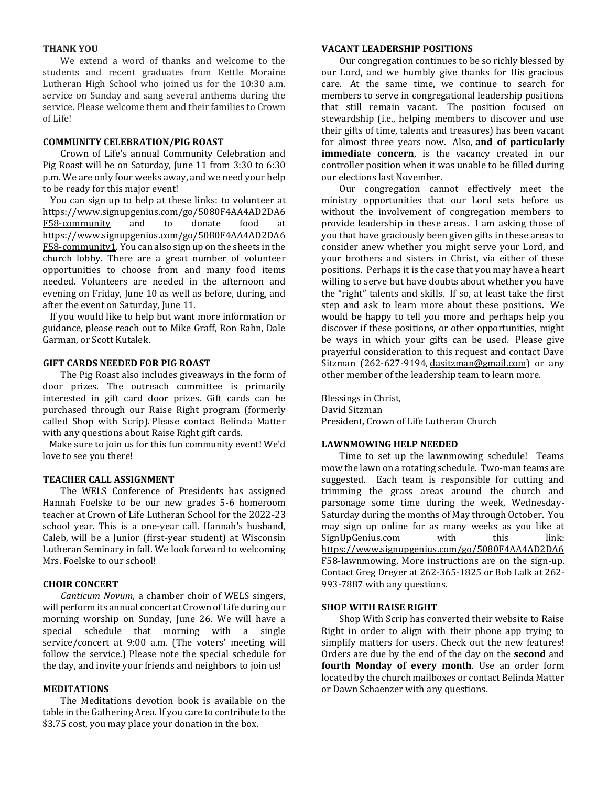#### **THANK YOU**

We extend a word of thanks and welcome to the students and recent graduates from Kettle Moraine Lutheran High School who joined us for the 10:30 a.m. service on Sunday and sang several anthems during the service. Please welcome them and their families to Crown of Life!

#### **COMMUNITY CELEBRATION/PIG ROAST**

Crown of Life's annual Community Celebration and Pig Roast will be on Saturday, June 11 from 3:30 to 6:30 p.m. We are only four weeks away, and we need your help to be ready for this major event!

You can sign up to help at these links: to volunteer at [https://www.signupgenius.com/go/5080F4AA4AD2DA6](https://www.signupgenius.com/go/5080F4AA4AD2DA6F58-community) [F58-community](https://www.signupgenius.com/go/5080F4AA4AD2DA6F58-community) and to donate food at [https://www.signupgenius.com/go/5080F4AA4AD2DA6](https://www.signupgenius.com/go/5080F4AA4AD2DA6F58-community1) [F58-community1.](https://www.signupgenius.com/go/5080F4AA4AD2DA6F58-community1) You can also sign up on the sheets in the church lobby. There are a great number of volunteer opportunities to choose from and many food items needed. Volunteers are needed in the afternoon and evening on Friday, June 10 as well as before, during, and after the event on Saturday, June 11.

If you would like to help but want more information or guidance, please reach out to Mike Graff, Ron Rahn, Dale Garman, or Scott Kutalek.

#### **GIFT CARDS NEEDED FOR PIG ROAST**

The Pig Roast also includes giveaways in the form of door prizes. The outreach committee is primarily interested in gift card door prizes. Gift cards can be purchased through our Raise Right program (formerly called Shop with Scrip). Please contact Belinda Matter with any questions about Raise Right gift cards.

Make sure to join us for this fun community event! We'd love to see you there!

#### **TEACHER CALL ASSIGNMENT**

The WELS Conference of Presidents has assigned Hannah Foelske to be our new grades 5-6 homeroom teacher at Crown of Life Lutheran School for the 2022-23 school year. This is a one-year call. Hannah's husband, Caleb, will be a Junior (first-year student) at Wisconsin Lutheran Seminary in fall. We look forward to welcoming Mrs. Foelske to our school!

# **CHOIR CONCERT**

*Canticum Novum*, a chamber choir of WELS singers, will perform its annual concert at Crown of Life during our morning worship on Sunday, June 26. We will have a special schedule that morning with a single service/concert at 9:00 a.m. (The voters' meeting will follow the service.) Please note the special schedule for the day, and invite your friends and neighbors to join us!

#### **MEDITATIONS**

The Meditations devotion book is available on the table in the Gathering Area. If you care to contribute to the \$3.75 cost, you may place your donation in the box.

#### **VACANT LEADERSHIP POSITIONS**

Our congregation continues to be so richly blessed by our Lord, and we humbly give thanks for His gracious care. At the same time, we continue to search for members to serve in congregational leadership positions that still remain vacant. The position focused on stewardship (i.e., helping members to discover and use their gifts of time, talents and treasures) has been vacant for almost three years now. Also, **and of particularly immediate concern**, is the vacancy created in our controller position when it was unable to be filled during our elections last November.

Our congregation cannot effectively meet the ministry opportunities that our Lord sets before us without the involvement of congregation members to provide leadership in these areas. I am asking those of you that have graciously been given gifts in these areas to consider anew whether you might serve your Lord, and your brothers and sisters in Christ, via either of these positions. Perhaps it is the case that you may have a heart willing to serve but have doubts about whether you have the "right" talents and skills. If so, at least take the first step and ask to learn more about these positions. We would be happy to tell you more and perhaps help you discover if these positions, or other opportunities, might be ways in which your gifts can be used. Please give prayerful consideration to this request and contact Dave Sitzman (262-627-9194, [dasitzman@gmail.com\)](mailto:dasitzman@gmail.com) or any other member of the leadership team to learn more.

Blessings in Christ, David Sitzman President, Crown of Life Lutheran Church

#### **LAWNMOWING HELP NEEDED**

Time to set up the lawnmowing schedule! Teams mow the lawn on a rotating schedule. Two-man teams are suggested. Each team is responsible for cutting and trimming the grass areas around the church and parsonage some time during the week, Wednesday-Saturday during the months of May through October. You may sign up online for as many weeks as you like at SignUpGenius.com with this link: [https://www.signupgenius.com/go/5080F4AA4AD2DA6](https://www.signupgenius.com/go/5080F4AA4AD2DA6F58-lawnmowing) [F58-lawnmowing.](https://www.signupgenius.com/go/5080F4AA4AD2DA6F58-lawnmowing) More instructions are on the sign-up. Contact Greg Dreyer at 262-365-1825 or Bob Lalk at 262- 993-7887 with any questions.

#### **SHOP WITH RAISE RIGHT**

Shop With Scrip has converted their website to Raise Right in order to align with their phone app trying to simplify matters for users. Check out the new features! Orders are due by the end of the day on the **second** and **fourth Monday of every month**. Use an order form located by the church mailboxes or contact Belinda Matter or Dawn Schaenzer with any questions.